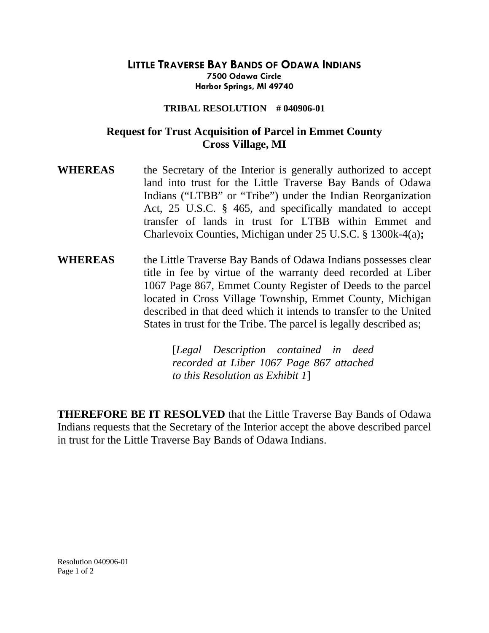## **LITTLE TRAVERSE BAY BANDS OF ODAWA INDIANS 7500 Odawa Circle Harbor Springs, MI 49740**

## **TRIBAL RESOLUTION # 040906-01**

## **Request for Trust Acquisition of Parcel in Emmet County Cross Village, MI**

- **WHEREAS** the Secretary of the Interior is generally authorized to accept land into trust for the Little Traverse Bay Bands of Odawa Indians ("LTBB" or "Tribe") under the Indian Reorganization Act, 25 U.S.C. § 465, and specifically mandated to accept transfer of lands in trust for LTBB within Emmet and Charlevoix Counties, Michigan under 25 U.S.C. § 1300k-4(a)**;**
- **WHEREAS** the Little Traverse Bay Bands of Odawa Indians possesses clear title in fee by virtue of the warranty deed recorded at Liber 1067 Page 867, Emmet County Register of Deeds to the parcel located in Cross Village Township, Emmet County, Michigan described in that deed which it intends to transfer to the United States in trust for the Tribe. The parcel is legally described as;

[*Legal Description contained in deed recorded at Liber 1067 Page 867 attached to this Resolution as Exhibit 1*]

**THEREFORE BE IT RESOLVED** that the Little Traverse Bay Bands of Odawa Indians requests that the Secretary of the Interior accept the above described parcel in trust for the Little Traverse Bay Bands of Odawa Indians.